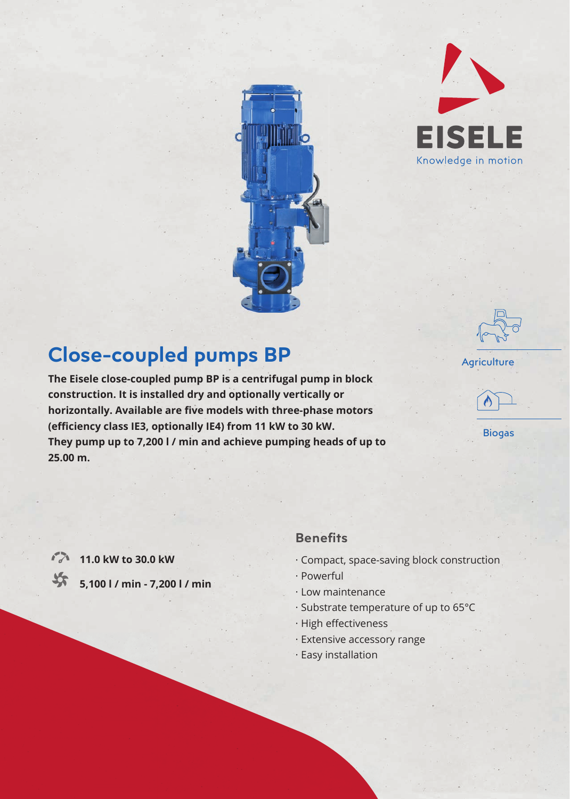



# **Close-coupled pumps BP**

**The Eisele close-coupled pump BP is a centrifugal pump in block construction. It is installed dry and optionally vertically or**  horizontally. Available are five models with three-phase motors (efficiency class IE3, optionally IE4) from 11 kW to 30 kW. **They pump up to 7,200 l / min and achieve pumping heads of up to 25.00 m.**



Biogas

**11.0 kW to 30.0 kW** 

长

**5,100 l / min - 7,200 l / min**

### **Benefits**

- · Compact, space-saving block construction
- · Powerful
- · Low maintenance
- · Substrate temperature of up to 65°C
- $\cdot$  High effectiveness
- · Extensive accessory range
- · Easy installation